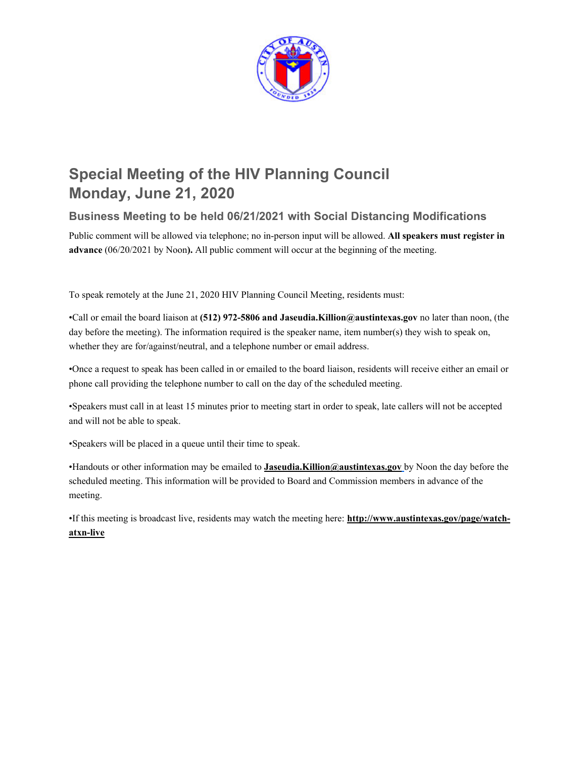

# **Special Meeting of the HIV Planning Council Monday, June 21, 2020**

# **Business Meeting to be held 06/21/2021 with Social Distancing Modifications**

Public comment will be allowed via telephone; no in-person input will be allowed. **All speakers must register in advance** (06/20/2021 by Noon**).** All public comment will occur at the beginning of the meeting.

To speak remotely at the June 21, 2020 HIV Planning Council Meeting, residents must:

•Call or email the board liaison at **(512) 972-5806 and Jaseudia.Killion@austintexas.gov** no later than noon, (the day before the meeting). The information required is the speaker name, item number(s) they wish to speak on, whether they are for/against/neutral, and a telephone number or email address.

•Once a request to speak has been called in or emailed to the board liaison, residents will receive either an email or phone call providing the telephone number to call on the day of the scheduled meeting.

•Speakers must call in at least 15 minutes prior to meeting start in order to speak, late callers will not be accepted and will not be able to speak.

•Speakers will be placed in a queue until their time to speak.

•Handouts or other information may be emailed to **Jaseudia.Killion@austintexas.gov** by Noon the day before the scheduled meeting. This information will be provided to Board and Commission members in advance of the meeting.

•If this meeting is broadcast live, residents may watch the meeting here: **http://www.austintexas.gov/page/watchatxn-live**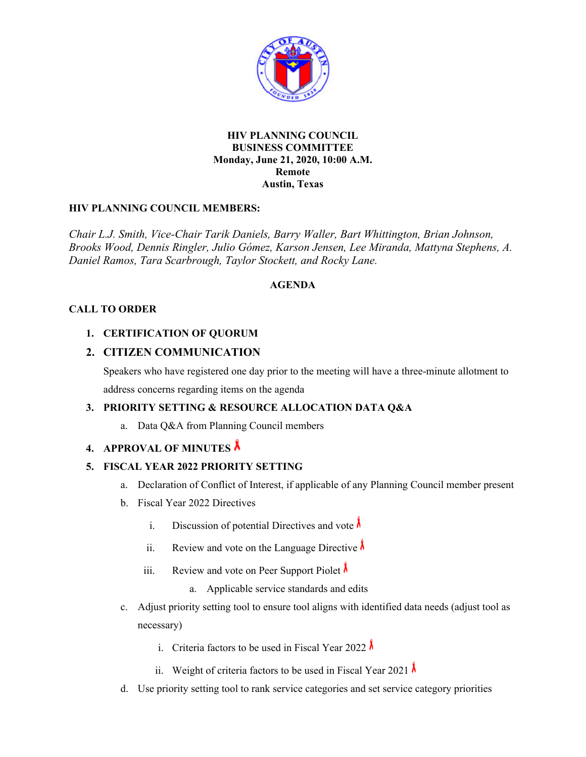

### **HIV PLANNING COUNCIL BUSINESS COMMITTEE Monday, June 21, 2020, 10:00 A.M. Remote Austin, Texas**

# **HIV PLANNING COUNCIL MEMBERS:**

*Chair L.J. Smith, Vice-Chair Tarik Daniels, Barry Waller, Bart Whittington, Brian Johnson, Brooks Wood, Dennis Ringler, Julio Gómez, Karson Jensen, Lee Miranda, Mattyna Stephens, A. Daniel Ramos, Tara Scarbrough, Taylor Stockett, and Rocky Lane.* 

## **AGENDA**

## **CALL TO ORDER**

# **1. CERTIFICATION OF QUORUM**

# **2. CITIZEN COMMUNICATION**

Speakers who have registered one day prior to the meeting will have a three-minute allotment to address concerns regarding items on the agenda

# **3. PRIORITY SETTING & RESOURCE ALLOCATION DATA Q&A**

a. Data Q&A from Planning Council members

## **4. APPROVAL OF MINUTES**

#### **5. FISCAL YEAR 2022 PRIORITY SETTING**

- a. Declaration of Conflict of Interest, if applicable of any Planning Council member present
- b. Fiscal Year 2022 Directives
	- i. Discussion of potential Directives and vote  $\lambda$
	- ii. Review and vote on the Language Directive  $\lambda$
	- iii. Review and vote on Peer Support Piolet  $\lambda$ 
		- a. Applicable service standards and edits
- c. Adjust priority setting tool to ensure tool aligns with identified data needs (adjust tool as necessary)
	- i. Criteria factors to be used in Fiscal Year 2022  $\lambda$
	- ii. Weight of criteria factors to be used in Fiscal Year 2021  $\lambda$
- d. Use priority setting tool to rank service categories and set service category priorities